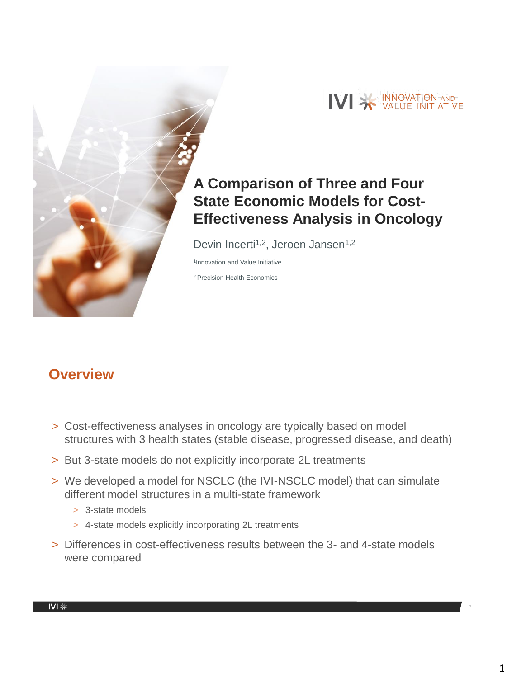

# **A Comparison of Three and Four State Economic Models for Cost-Effectiveness Analysis in Oncology**

Devin Incerti<sup>1,2</sup>, Jeroen Jansen<sup>1,2</sup>

1 Innovation and Value Initiative

<sup>2</sup> Precision Health Economics

## **Overview**

- > Cost-effectiveness analyses in oncology are typically based on model structures with 3 health states (stable disease, progressed disease, and death)
- > But 3-state models do not explicitly incorporate 2L treatments
- > We developed a model for NSCLC (the IVI-NSCLC model) that can simulate different model structures in a multi-state framework
	- > 3-state models
	- > 4-state models explicitly incorporating 2L treatments
- > Differences in cost-effectiveness results between the 3- and 4-state models were compared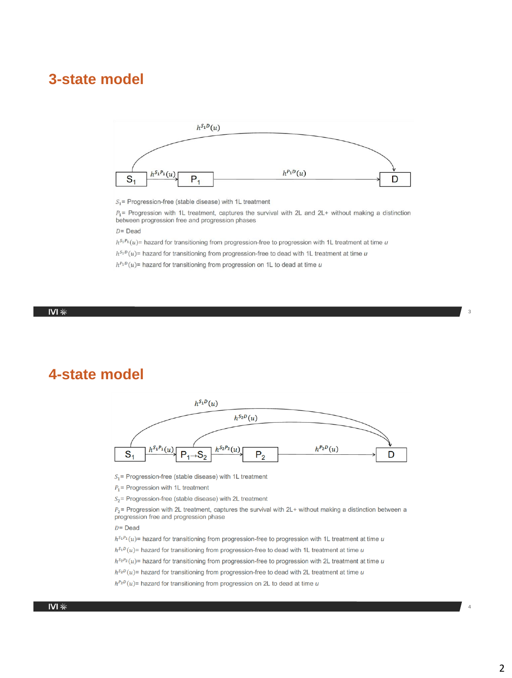### **3-state model**



 $S_1$  = Progression-free (stable disease) with 1L treatment

 $P_1$ = Progression with 1L treatment, captures the survival with 2L and 2L+ without making a distinction between progression free and progression phases

#### $D = Dead$

 $h^{S_1P_1}(u)$  hazard for transitioning from progression-free to progression with 1L treatment at time u

 $h^{S_1D}(u)$  = hazard for transitioning from progression-free to dead with 1L treatment at time u

 $h^{P_1D}(u)$  = hazard for transitioning from progression on 1L to dead at time u

#### IVI $*$

### **4-state model**



 $S_1$ = Progression-free (stable disease) with 1L treatment

 $P_1$  = Progression with 1L treatment

 $S_2$  = Progression-free (stable disease) with 2L treatment

 $P_2$  = Progression with 2L treatment, captures the survival with 2L+ without making a distinction between a progression free and progression phase

 $D = \text{Dead}$ 

 $h^{S_1P_1}(u)$  = hazard for transitioning from progression-free to progression with 1L treatment at time u

 $h^{S_1D}(u)$ = hazard for transitioning from progression-free to dead with 1L treatment at time u

 $h^{S_2P_2}(u)$  = hazard for transitioning from progression-free to progression with 2L treatment at time u

 $h^{S_2D}(u)$ = hazard for transitioning from progression-free to dead with 2L treatment at time u

 $h^{P_2D}(u)$ = hazard for transitioning from progression on 2L to dead at time u

4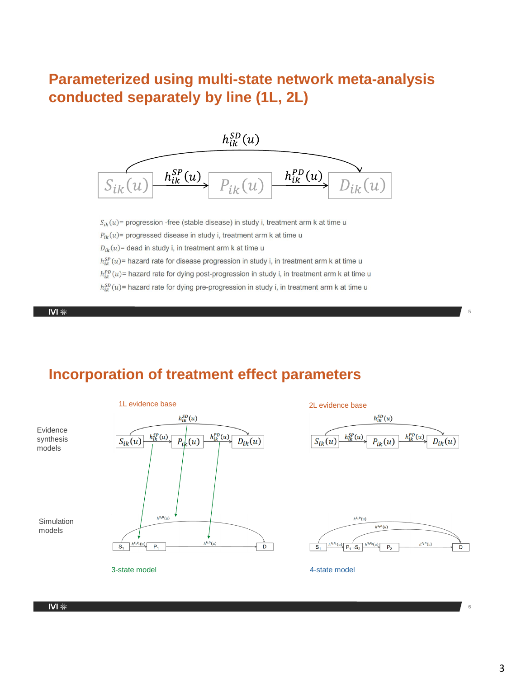## **Parameterized using multi-state network meta-analysis conducted separately by line (1L, 2L)**



 $S_{ik}(u)$  = progression -free (stable disease) in study i, treatment arm k at time u

 $P_{ik}(u)$ = progressed disease in study i, treatment arm k at time u

 $D_{ik}(u)$  = dead in study i, in treatment arm k at time u

 $h_{ik}^{SP}(u)$  = hazard rate for disease progression in study i, in treatment arm k at time u

 $h_{ik}^{PD}(u)$  = hazard rate for dying post-progression in study i, in treatment arm k at time u

 $h_{ik}^{SD}(u)$  = hazard rate for dying pre-progression in study i, in treatment arm k at time u

 $\frac{1}{2}$  IVI

## **Incorporation of treatment effect parameters**



6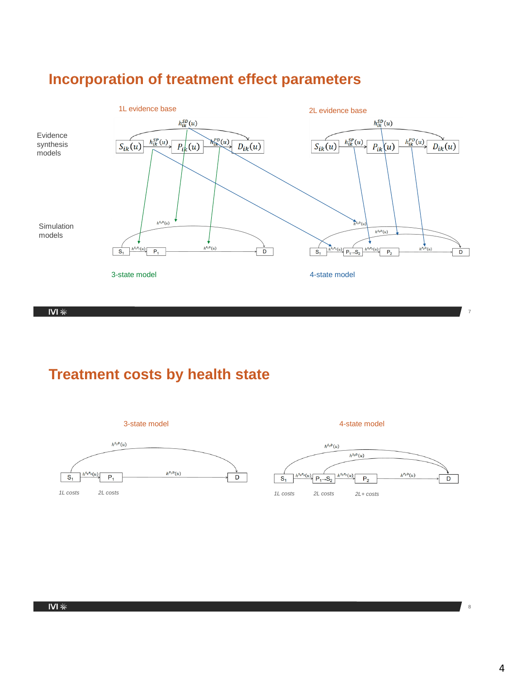



 $\overline{INI}$ 

## **Treatment costs by health state**



8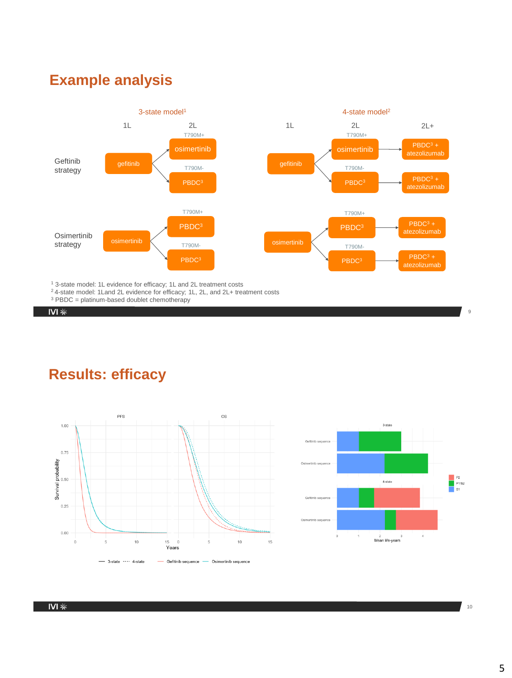## **Example analysis**



<sup>1</sup> 3-state model: 1L evidence for efficacy; 1L and 2L treatment costs

- <sup>2</sup> 4-state model: 1 Land 2L evidence for efficacy; 1 L, 2 L, and 2 L+ treatment costs
- $3$  PBDC = platinum-based doublet chemotherapy

 $\overline{IVI*}$ 

## **Results: efficacy**





10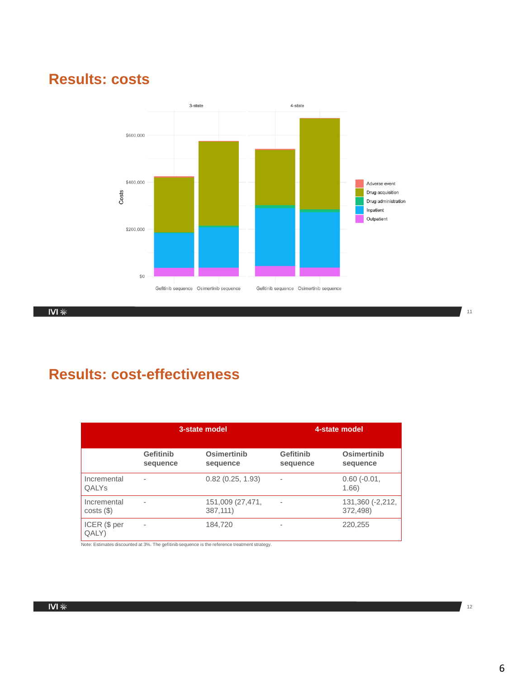## **Results: costs**



 $\overline{N}$  IVI

## **Results: cost-effectiveness**

|                             | 3-state model         |                              | 4-state model         |                              |
|-----------------------------|-----------------------|------------------------------|-----------------------|------------------------------|
|                             | Gefitinib<br>sequence | Osimertinib<br>sequence      | Gefitinib<br>sequence | Osimertinib<br>sequence      |
| Incremental<br><b>QALYs</b> | ٠                     | 0.82(0.25, 1.93)             |                       | $0.60$ ( $-0.01$ ,<br>1.66)  |
| Incremental<br>costs(       | ٠                     | 151,009 (27,471,<br>387,111) |                       | 131,360 (-2,212,<br>372,498) |
| ICER (\$ per<br>QALY)       | ٠                     | 184,720                      | ۰                     | 220,255                      |

Note: Estimates discounted at 3%. The gefitinib sequence is the reference treatment strategy.

12